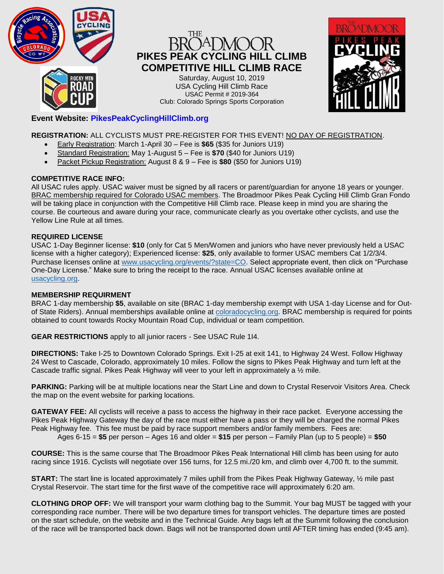

# **PIKES PEAK CYCLING HILL CLIMB COMPETITIVE HILL CLIMB RACE**

Saturday, August 10, 2019 USA Cycling Hill Climb Race USAC Permit # 2019-364 Club: Colorado Springs Sports Corporation



# **Event Website: PikesPeakCyclingHillClimb.org**

**REGISTRATION:** ALL CYCLISTS MUST PRE-REGISTER FOR THIS EVENT! NO DAY OF REGISTRATION.

- Early Registration: March 1-April 30 Fee is **\$65** (\$35 for Juniors U19)
- Standard Registration: May 1-August 5 Fee is **\$70** (\$40 for Juniors U19)
- Packet Pickup Registration: August 8 & 9 Fee is **\$80** (\$50 for Juniors U19)

## **COMPETITIVE RACE INFO:**

All USAC rules apply. USAC waiver must be signed by all racers or parent/guardian for anyone 18 years or younger. BRAC membership required for Colorado USAC members. The Broadmoor Pikes Peak Cycling Hill Climb Gran Fondo will be taking place in conjunction with the Competitive Hill Climb race. Please keep in mind you are sharing the course. Be courteous and aware during your race, communicate clearly as you overtake other cyclists, and use the Yellow Line Rule at all times.

### **REQUIRED LICENSE**

USAC 1-Day Beginner license: **\$10** (only for Cat 5 Men/Women and juniors who have never previously held a USAC license with a higher category); Experienced license: **\$25**, only available to former USAC members Cat 1/2/3/4. Purchase licenses online at [www.usacycling.org/events/?state=CO.](http://www.usacycling.org/events/?state=CO) Select appropriate event, then click on "Purchase One-Day License." Make sure to bring the receipt to the race. Annual USAC licenses available online at [usacycling.org.](http://www.usacycling.org/)

### **MEMBERSHIP REQUIRMENT**

BRAC 1-day membership **\$5**, available on site (BRAC 1-day membership exempt with USA 1-day License and for Outof State Riders). Annual memberships available online at [coloradocycling.org.](http://www.coloradocycling.org/) BRAC membership is required for points obtained to count towards Rocky Mountain Road Cup, individual or team competition.

**GEAR RESTRICTIONS** apply to all junior racers - See USAC Rule 1I4.

**DIRECTIONS:** Take I-25 to Downtown Colorado Springs. Exit I-25 at exit 141, to Highway 24 West. Follow Highway 24 West to Cascade, Colorado, approximately 10 miles. Follow the signs to Pikes Peak Highway and turn left at the Cascade traffic signal. Pikes Peak Highway will veer to your left in approximately a ½ mile.

**PARKING:** Parking will be at multiple locations near the Start Line and down to Crystal Reservoir Visitors Area. Check the map on the event website for parking locations.

**GATEWAY FEE:** All cyclists will receive a pass to access the highway in their race packet. Everyone accessing the Pikes Peak Highway Gateway the day of the race must either have a pass or they will be charged the normal Pikes Peak Highway fee. This fee must be paid by race support members and/or family members. Fees are: Ages 6-15 = **\$5** per person – Ages 16 and older = **\$15** per person – Family Plan (up to 5 people) = **\$50**

**COURSE:** This is the same course that The Broadmoor Pikes Peak International Hill climb has been using for auto racing since 1916. Cyclists will negotiate over 156 turns, for 12.5 mi./20 km, and climb over 4,700 ft. to the summit.

**START:** The start line is located approximately 7 miles uphill from the Pikes Peak Highway Gateway, ½ mile past Crystal Reservoir. The start time for the first wave of the competitive race will approximately 6:20 am.

**CLOTHING DROP OFF:** We will transport your warm clothing bag to the Summit. Your bag MUST be tagged with your corresponding race number. There will be two departure times for transport vehicles. The departure times are posted on the start schedule, on the website and in the Technical Guide. Any bags left at the Summit following the conclusion of the race will be transported back down. Bags will not be transported down until AFTER timing has ended (9:45 am).